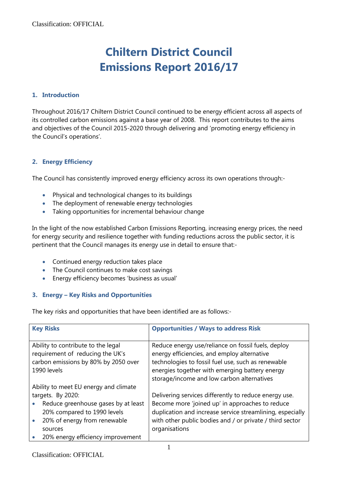# **Chiltern District Council Emissions Report 2016/17**

# **1. Introduction**

Throughout 2016/17 Chiltern District Council continued to be energy efficient across all aspects of its controlled carbon emissions against a base year of 2008. This report contributes to the aims and objectives of the Council 2015-2020 through delivering and 'promoting energy efficiency in the Council's operations'.

# **2. Energy Efficiency**

The Council has consistently improved energy efficiency across its own operations through:-

- Physical and technological changes to its buildings
- The deployment of renewable energy technologies
- Taking opportunities for incremental behaviour change

In the light of the now established Carbon Emissions Reporting, increasing energy prices, the need for energy security and resilience together with funding reductions across the public sector, it is pertinent that the Council manages its energy use in detail to ensure that:-

- Continued energy reduction takes place
- The Council continues to make cost savings
- Energy efficiency becomes 'business as usual'

# **3. Energy – Key Risks and Opportunities**

The key risks and opportunities that have been identified are as follows:-

| <b>Key Risks</b>                                                                                                              | <b>Opportunities / Ways to address Risk</b>                                                                                                                                                                                                             |
|-------------------------------------------------------------------------------------------------------------------------------|---------------------------------------------------------------------------------------------------------------------------------------------------------------------------------------------------------------------------------------------------------|
| Ability to contribute to the legal<br>requirement of reducing the UK's<br>carbon emissions by 80% by 2050 over<br>1990 levels | Reduce energy use/reliance on fossil fuels, deploy<br>energy efficiencies, and employ alternative<br>technologies to fossil fuel use, such as renewable<br>energies together with emerging battery energy<br>storage/income and low carbon alternatives |
| Ability to meet EU energy and climate                                                                                         |                                                                                                                                                                                                                                                         |
| targets. By 2020:                                                                                                             | Delivering services differently to reduce energy use.                                                                                                                                                                                                   |
| Reduce greenhouse gases by at least<br>20% compared to 1990 levels                                                            | Become more 'joined up' in approaches to reduce<br>duplication and increase service streamlining, especially                                                                                                                                            |
| 20% of energy from renewable                                                                                                  | with other public bodies and / or private / third sector                                                                                                                                                                                                |
| sources                                                                                                                       | organisations                                                                                                                                                                                                                                           |
| 20% energy efficiency improvement                                                                                             |                                                                                                                                                                                                                                                         |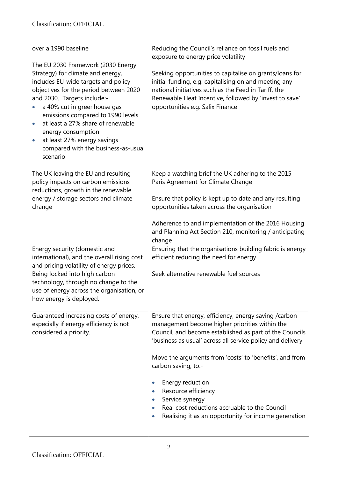| over a 1990 baseline                                                                                                                                                                                                                                                                                                                                                                                                  | Reducing the Council's reliance on fossil fuels and<br>exposure to energy price volatility                                                                                                                                                                             |
|-----------------------------------------------------------------------------------------------------------------------------------------------------------------------------------------------------------------------------------------------------------------------------------------------------------------------------------------------------------------------------------------------------------------------|------------------------------------------------------------------------------------------------------------------------------------------------------------------------------------------------------------------------------------------------------------------------|
| The EU 2030 Framework (2030 Energy<br>Strategy) for climate and energy,<br>includes EU-wide targets and policy<br>objectives for the period between 2020<br>and 2030. Targets include:-<br>a 40% cut in greenhouse gas<br>emissions compared to 1990 levels<br>at least a 27% share of renewable<br>energy consumption<br>at least 27% energy savings<br>$\bullet$<br>compared with the business-as-usual<br>scenario | Seeking opportunities to capitalise on grants/loans for<br>initial funding, e.g. capitalising on and meeting any<br>national initiatives such as the Feed in Tariff, the<br>Renewable Heat Incentive, followed by 'invest to save'<br>opportunities e.g. Salix Finance |
| The UK leaving the EU and resulting<br>policy impacts on carbon emissions<br>reductions, growth in the renewable<br>energy / storage sectors and climate                                                                                                                                                                                                                                                              | Keep a watching brief the UK adhering to the 2015<br>Paris Agreement for Climate Change<br>Ensure that policy is kept up to date and any resulting                                                                                                                     |
| change                                                                                                                                                                                                                                                                                                                                                                                                                | opportunities taken across the organisation<br>Adherence to and implementation of the 2016 Housing<br>and Planning Act Section 210, monitoring / anticipating<br>change                                                                                                |
| Energy security (domestic and<br>international), and the overall rising cost<br>and pricing volatility of energy prices.<br>Being locked into high carbon<br>technology, through no change to the<br>use of energy across the organisation, or<br>how energy is deployed.                                                                                                                                             | Ensuring that the organisations building fabric is energy<br>efficient reducing the need for energy<br>Seek alternative renewable fuel sources                                                                                                                         |
| Guaranteed increasing costs of energy,<br>especially if energy efficiency is not<br>considered a priority.                                                                                                                                                                                                                                                                                                            | Ensure that energy, efficiency, energy saving /carbon<br>management become higher priorities within the<br>Council, and become established as part of the Councils<br>'business as usual' across all service policy and delivery                                       |
|                                                                                                                                                                                                                                                                                                                                                                                                                       | Move the arguments from 'costs' to 'benefits', and from<br>carbon saving, to:-                                                                                                                                                                                         |
|                                                                                                                                                                                                                                                                                                                                                                                                                       | Energy reduction<br>Resource efficiency<br>$\bullet$<br>Service synergy<br>$\bullet$<br>Real cost reductions accruable to the Council<br>Realising it as an opportunity for income generation                                                                          |
|                                                                                                                                                                                                                                                                                                                                                                                                                       |                                                                                                                                                                                                                                                                        |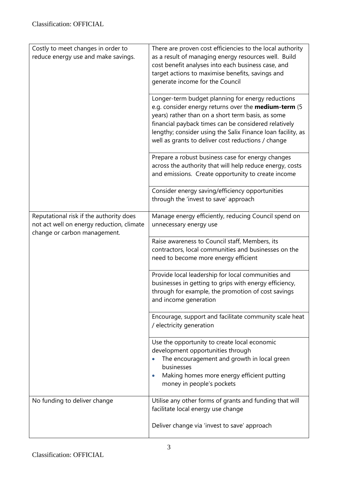| Costly to meet changes in order to<br>reduce energy use and make savings.                                            | There are proven cost efficiencies to the local authority<br>as a result of managing energy resources well. Build<br>cost benefit analyses into each business case, and<br>target actions to maximise benefits, savings and<br>generate income for the Council                                                                              |
|----------------------------------------------------------------------------------------------------------------------|---------------------------------------------------------------------------------------------------------------------------------------------------------------------------------------------------------------------------------------------------------------------------------------------------------------------------------------------|
|                                                                                                                      | Longer-term budget planning for energy reductions<br>e.g. consider energy returns over the medium-term (5<br>years) rather than on a short term basis, as some<br>financial payback times can be considered relatively<br>lengthy; consider using the Salix Finance loan facility, as<br>well as grants to deliver cost reductions / change |
|                                                                                                                      | Prepare a robust business case for energy changes<br>across the authority that will help reduce energy, costs<br>and emissions. Create opportunity to create income                                                                                                                                                                         |
|                                                                                                                      | Consider energy saving/efficiency opportunities<br>through the 'invest to save' approach                                                                                                                                                                                                                                                    |
| Reputational risk if the authority does<br>not act well on energy reduction, climate<br>change or carbon management. | Manage energy efficiently, reducing Council spend on<br>unnecessary energy use                                                                                                                                                                                                                                                              |
|                                                                                                                      | Raise awareness to Council staff, Members, its<br>contractors, local communities and businesses on the<br>need to become more energy efficient                                                                                                                                                                                              |
|                                                                                                                      | Provide local leadership for local communities and<br>businesses in getting to grips with energy efficiency,<br>through for example, the promotion of cost savings<br>and income generation                                                                                                                                                 |
|                                                                                                                      | Encourage, support and facilitate community scale heat<br>/ electricity generation                                                                                                                                                                                                                                                          |
|                                                                                                                      | Use the opportunity to create local economic<br>development opportunities through<br>The encouragement and growth in local green<br>businesses<br>Making homes more energy efficient putting<br>money in people's pockets                                                                                                                   |
| No funding to deliver change                                                                                         | Utilise any other forms of grants and funding that will<br>facilitate local energy use change                                                                                                                                                                                                                                               |
|                                                                                                                      | Deliver change via 'invest to save' approach                                                                                                                                                                                                                                                                                                |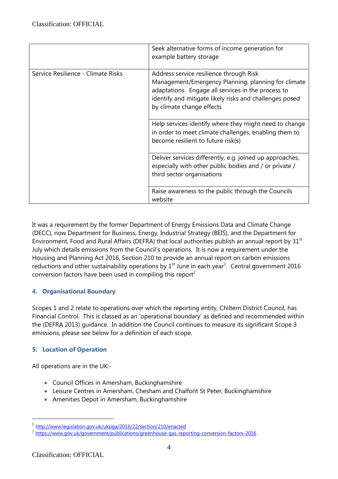|                                    | Seek alternative forms of income generation for<br>example battery storage                                                                                                                                                                   |
|------------------------------------|----------------------------------------------------------------------------------------------------------------------------------------------------------------------------------------------------------------------------------------------|
| Service Resilience - Climate Risks | Address service resilience through Risk<br>Management/Emergency Planning, planning for climate<br>adaptations. Engage all services in the process to<br>identify and mitigate likely risks and challenges posed<br>by climate change effects |
|                                    | Help services identify where they might need to change<br>in order to meet climate challenges, enabling them to<br>become resilient to future risk(s)                                                                                        |
|                                    | Deliver services differently, e.g. joined up approaches,<br>especially with other public bodies and / or private /<br>third sector organisations                                                                                             |
|                                    | Raise awareness to the public through the Councils<br>website                                                                                                                                                                                |

It was a requirement by the former Department of Energy Emissions Data and Climate Change (DECC), now Department for Business, Energy, Industrial Strategy (BEIS), and the Department for Environment, Food and Rural Affairs (DEFRA) that local authorities publish an annual report by 31<sup>st</sup> July which details emissions from the Council's operations. It is now a requirement under the Housing and Planning Act 2016, Section 210 to provide an annual report on carbon emissions reductions and other sustainability operations by  $1^{st}$  June in each year<sup>1</sup>. Central government 2016 conversion factors have been used in compiling this report<sup>2</sup>

# **4. Organisational Boundary**

Scopes 1 and 2 relate to operations over which the reporting entity, Chiltern District Council, has Financial Control. This is classed as an 'operational boundary' as defined and recommended within the (DEFRA 2013) guidance. In addition the Council continues to measure its significant Scope 3 emissions, please see below for a definition of each scope.

# **5. Location of Operation**

All operations are in the UK:-

- Council Offices in Amersham, Buckinghamshire
- Leisure Centres in Amersham, Chesham and Chalfont St Peter, Buckinghamshire
- Amenities Depot in Amersham, Buckinghamshire

<u>.</u>

<sup>1</sup> <http://www.legislation.gov.uk/ukpga/2016/22/section/210/enacted>

<sup>&</sup>lt;sup>2</sup> <https://www.gov.uk/government/publications/greenhouse-gas-reporting-conversion-factors-2016>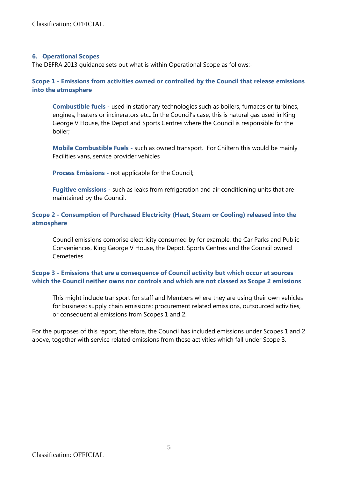#### **6. Operational Scopes**

The DEFRA 2013 guidance sets out what is within Operational Scope as follows:-

# **Scope 1 - Emissions from activities owned or controlled by the Council that release emissions into the atmosphere**

**Combustible fuels -** used in stationary technologies such as boilers, furnaces or turbines, engines, heaters or incinerators etc.. In the Council's case, this is natural gas used in King George V House, the Depot and Sports Centres where the Council is responsible for the boiler;

**Mobile Combustible Fuels -** such as owned transport. For Chiltern this would be mainly Facilities vans, service provider vehicles

**Process Emissions -** not applicable for the Council;

**Fugitive emissions -** such as leaks from refrigeration and air conditioning units that are maintained by the Council.

# **Scope 2 - Consumption of Purchased Electricity (Heat, Steam or Cooling) released into the atmosphere**

Council emissions comprise electricity consumed by for example, the Car Parks and Public Conveniences, King George V House, the Depot, Sports Centres and the Council owned Cemeteries.

# **Scope 3 - Emissions that are a consequence of Council activity but which occur at sources which the Council neither owns nor controls and which are not classed as Scope 2 emissions**

This might include transport for staff and Members where they are using their own vehicles for business; supply chain emissions; procurement related emissions, outsourced activities, or consequential emissions from Scopes 1 and 2.

For the purposes of this report, therefore, the Council has included emissions under Scopes 1 and 2 above, together with service related emissions from these activities which fall under Scope 3.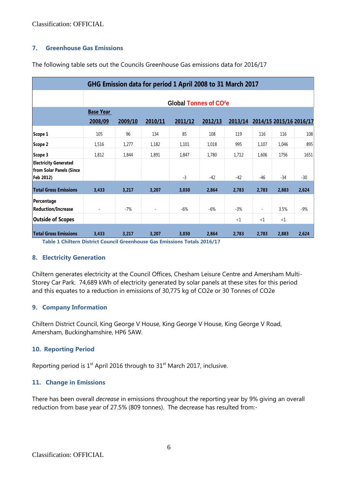Classification: OFFICIAL

## **7. Greenhouse Gas Emissions**

The following table sets out the Councils Greenhouse Gas emissions data for 2016/17

| GHG Emission data for period 1 April 2008 to 31 March 2017 |                                    |         |         |         |         |          |          |                         |       |  |  |
|------------------------------------------------------------|------------------------------------|---------|---------|---------|---------|----------|----------|-------------------------|-------|--|--|
|                                                            | Global Tonnes of CO <sup>2</sup> e |         |         |         |         |          |          |                         |       |  |  |
|                                                            | <b>Base Year</b>                   |         |         |         |         |          |          |                         |       |  |  |
|                                                            | 2008/09                            | 2009/10 | 2010/11 | 2011/12 | 2012/13 | 2013/14  |          | 2014/15 2015/16 2016/17 |       |  |  |
| Scope 1                                                    | 105                                | 96      | 134     | 85      | 108     | 119      | 116      | 116                     | 108   |  |  |
| Scope 2                                                    | 1,516                              | 1,277   | 1,182   | 1,101   | 1,018   | 995      | 1,107    | 1,046                   | 895   |  |  |
| Scope 3                                                    | 1,812                              | 1,844   | 1,891   | 1,847   | 1,780   | 1,712    | 1,606    | 1756                    | 1651  |  |  |
| <b>Electricity Generated</b><br>from Solar Panels (Since   |                                    |         |         |         |         |          |          |                         |       |  |  |
| Feb 2012)                                                  |                                    |         |         | $-3$    | $-42$   | $-42$    | $-46$    | $-34$                   | $-30$ |  |  |
| <b>Total Gross Emissions</b>                               | 3,433                              | 3,217   | 3,207   | 3,030   | 2,864   | 2,783    | 2,783    | 2,883                   | 2,624 |  |  |
| Percentage<br><b>Reduction/Increase</b>                    |                                    | $-7%$   |         | $-6%$   | $-6%$   | $-3%$    |          | 3.5%                    | $-9%$ |  |  |
| <b>Outside of Scopes</b>                                   |                                    |         |         |         |         | $\leq 1$ | $\leq 1$ | $\leq 1$                |       |  |  |
| <b>Total Gross Emissions</b>                               | 3,433                              | 3,217   | 3,207   | 3,030   | 2,864   | 2,783    | 2,783    | 2,883                   | 2,624 |  |  |

**Table 1 Chiltern District Council Greenhouse Gas Emissions Totals 2016/17**

#### **8. Electricity Generation**

Chiltern generates electricity at the Council Offices, Chesham Leisure Centre and Amersham Multi-Storey Car Park. 74,689 kWh of electricity generated by solar panels at these sites for this period and this equates to a reduction in emissions of 30,775 kg of CO2e or 30 Tonnes of CO2e

#### **9. Company Information**

Chiltern District Council, King George V House, King George V House, King George V Road, Amersham, Buckinghamshire, HP6 5AW.

## **10. Reporting Period**

Reporting period is  $1<sup>st</sup>$  April 2016 through to  $31<sup>st</sup>$  March 2017, inclusive.

## **11. Change in Emissions**

There has been overall *decrease* in emissions throughout the reporting year by 9% giving an overall reduction from base year of 27.5% (809 tonnes). The decrease has resulted from:-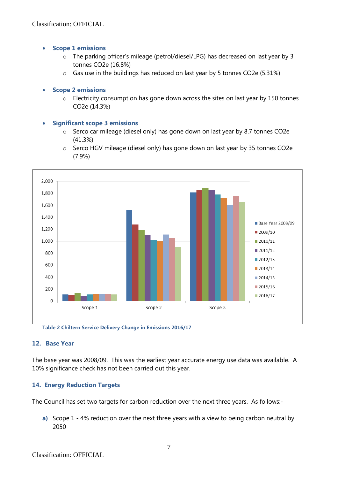- **Scope 1 emissions** 
	- o The parking officer's mileage (petrol/diesel/LPG) has decreased on last year by 3 tonnes CO2e (16.8%)
	- o Gas use in the buildings has reduced on last year by 5 tonnes CO2e (5.31%)

## **Scope 2 emissions**

o Electricity consumption has gone down across the sites on last year by 150 tonnes CO2e (14.3%)

#### **Significant scope 3 emissions**

- o Serco car mileage (diesel only) has gone down on last year by 8.7 tonnes CO2e (41.3%)
- o Serco HGV mileage (diesel only) has gone down on last year by 35 tonnes CO2e (7.9%)



**Table 2 Chiltern Service Delivery Change in Emissions 2016/17**

## **12. Base Year**

The base year was 2008/09. This was the earliest year accurate energy use data was available. A 10% significance check has not been carried out this year.

## **14. Energy Reduction Targets**

The Council has set two targets for carbon reduction over the next three years. As follows:-

**a)** Scope 1 - 4% reduction over the next three years with a view to being carbon neutral by 2050